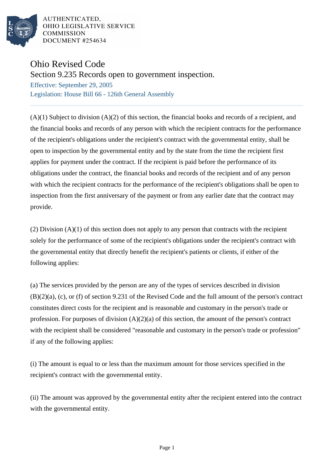

AUTHENTICATED. OHIO LEGISLATIVE SERVICE **COMMISSION** DOCUMENT #254634

## Ohio Revised Code

Section 9.235 Records open to government inspection.

Effective: September 29, 2005 Legislation: House Bill 66 - 126th General Assembly

 $(A)(1)$  Subject to division  $(A)(2)$  of this section, the financial books and records of a recipient, and the financial books and records of any person with which the recipient contracts for the performance of the recipient's obligations under the recipient's contract with the governmental entity, shall be open to inspection by the governmental entity and by the state from the time the recipient first applies for payment under the contract. If the recipient is paid before the performance of its obligations under the contract, the financial books and records of the recipient and of any person with which the recipient contracts for the performance of the recipient's obligations shall be open to inspection from the first anniversary of the payment or from any earlier date that the contract may provide.

(2) Division (A)(1) of this section does not apply to any person that contracts with the recipient solely for the performance of some of the recipient's obligations under the recipient's contract with the governmental entity that directly benefit the recipient's patients or clients, if either of the following applies:

(a) The services provided by the person are any of the types of services described in division (B)(2)(a), (c), or (f) of section 9.231 of the Revised Code and the full amount of the person's contract constitutes direct costs for the recipient and is reasonable and customary in the person's trade or profession. For purposes of division (A)(2)(a) of this section, the amount of the person's contract with the recipient shall be considered "reasonable and customary in the person's trade or profession" if any of the following applies:

(i) The amount is equal to or less than the maximum amount for those services specified in the recipient's contract with the governmental entity.

(ii) The amount was approved by the governmental entity after the recipient entered into the contract with the governmental entity.